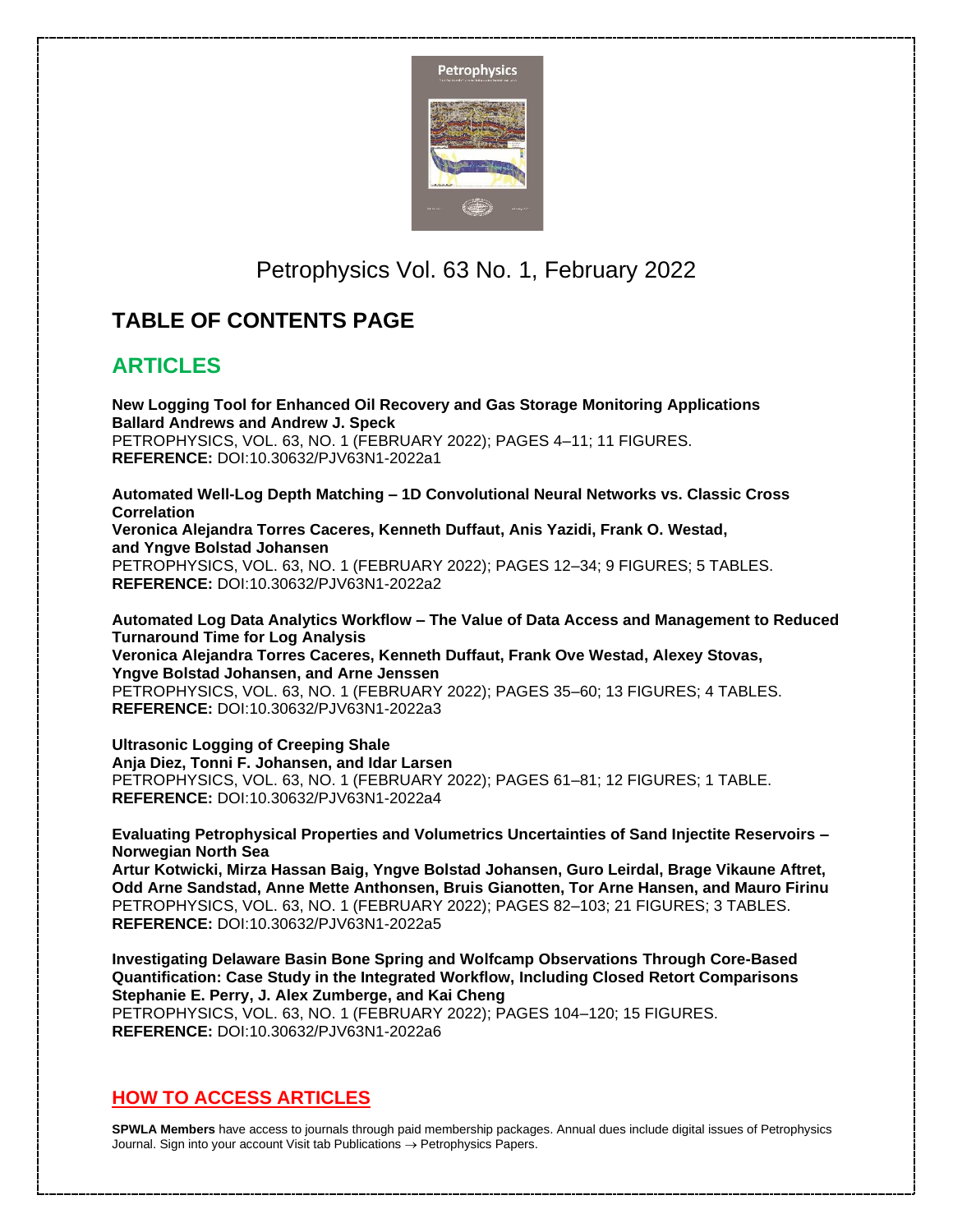

## Petrophysics Vol. 63 No. 1, February 2022

## **TABLE OF CONTENTS PAGE**

## **ARTICLES**

**New Logging Tool for Enhanced Oil Recovery and Gas Storage Monitoring Applications Ballard Andrews and Andrew J. Speck** PETROPHYSICS, VOL. 63, NO. 1 (FEBRUARY 2022); PAGES 4–11; 11 FIGURES. **REFERENCE:** DOI:10.30632/PJV63N1-2022a1

**Automated Well-Log Depth Matching – 1D Convolutional Neural Networks vs. Classic Cross Correlation Veronica Alejandra Torres Caceres, Kenneth Duffaut, Anis Yazidi, Frank O. Westad, and Yngve Bolstad Johansen** PETROPHYSICS, VOL. 63, NO. 1 (FEBRUARY 2022); PAGES 12–34; 9 FIGURES; 5 TABLES. **REFERENCE:** DOI:10.30632/PJV63N1-2022a2

**Automated Log Data Analytics Workflow – The Value of Data Access and Management to Reduced Turnaround Time for Log Analysis Veronica Alejandra Torres Caceres, Kenneth Duffaut, Frank Ove Westad, Alexey Stovas, Yngve Bolstad Johansen, and Arne Jenssen** PETROPHYSICS, VOL. 63, NO. 1 (FEBRUARY 2022); PAGES 35–60; 13 FIGURES; 4 TABLES. **REFERENCE:** DOI:10.30632/PJV63N1-2022a3

**Ultrasonic Logging of Creeping Shale Anja Diez, Tonni F. Johansen, and Idar Larsen** PETROPHYSICS, VOL. 63, NO. 1 (FEBRUARY 2022); PAGES 61–81; 12 FIGURES; 1 TABLE. **REFERENCE:** DOI:10.30632/PJV63N1-2022a4

**Evaluating Petrophysical Properties and Volumetrics Uncertainties of Sand Injectite Reservoirs – Norwegian North Sea Artur Kotwicki, Mirza Hassan Baig, Yngve Bolstad Johansen, Guro Leirdal, Brage Vikaune Aftret,**

**Odd Arne Sandstad, Anne Mette Anthonsen, Bruis Gianotten, Tor Arne Hansen, and Mauro Firinu** PETROPHYSICS, VOL. 63, NO. 1 (FEBRUARY 2022); PAGES 82–103; 21 FIGURES; 3 TABLES. **REFERENCE:** DOI:10.30632/PJV63N1-2022a5

**Investigating Delaware Basin Bone Spring and Wolfcamp Observations Through Core-Based Quantification: Case Study in the Integrated Workflow, Including Closed Retort Comparisons Stephanie E. Perry, J. Alex Zumberge, and Kai Cheng** PETROPHYSICS, VOL. 63, NO. 1 (FEBRUARY 2022); PAGES 104–120; 15 FIGURES. **REFERENCE:** DOI:10.30632/PJV63N1-2022a6

## **HOW TO ACCESS ARTICLES**

**SPWLA Members** have access to journals through paid membership packages. Annual dues include digital issues of Petrophysics Journal. Sign into your account Visit tab Publications → Petrophysics Papers.